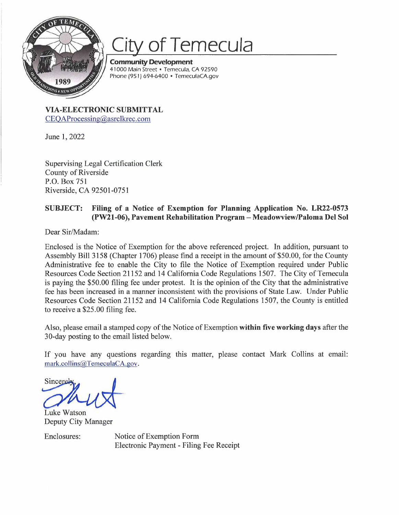

## City of Temecula

**Community Development**  41 000 Main Street • Temecula, CA 92590 Phone (951) 694-6400 • TemeculaCA.gov

**VIA-ELECTRONIC SUBMITTAL**  CEOAProcessing@asrclkrec.com

June 1, 2022

Supervising Legal Certification Clerk County of Riverside P.O. Box 751 Riverside, CA 92501-0751

## **SUBJECT: Filing of a Notice of Exemption for Planning Application No. LR22-0573 (PW21-06), Pavement Rehabilitation Program-Meadowview/Paloma Del Sol**

Dear Sir/Madam:

Enclosed is the Notice of Exemption for the above referenced project. In addition, pursuant to Assembly Bill 3158 (Chapter 1706) please find a receipt in the amount of \$50.00, for the County Administrative fee to enable the City to file the Notice of Exemption required under Public Resources Code Section 21152 and 14 California Code Regulations 1507. The City of Temecula is paying the \$50.00 filing fee under protest. It is the opinion of the City that the administrative fee has been increased in a manner inconsistent with the provisions of State Law. Under Public Resources Code Section 21152 and 14 California Code Regulations 1507, the County is entitled to receive a \$25.00 filing fee.

Also, please email a stamped copy of the Notice of Exemption **within five working days** after the 30-day posting to the email listed below.

If you have any questions regarding this matter, please contact Mark Collins at email: mark.collins@TemeculaCA.gov.

Sincerely

Luke Watson Deputy City Manager

Enclosures: Notice of Exemption Form Electronic Payment - Filing Fee Receipt